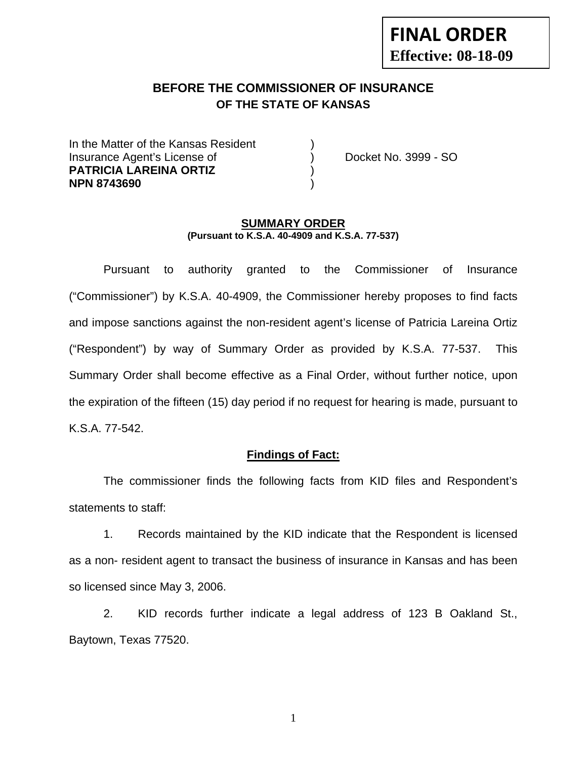# **FINAL ORDER Effective: 08-18-09**

# **BEFORE THE COMMISSIONER OF INSURANCE OF THE STATE OF KANSAS**

In the Matter of the Kansas Resident Insurance Agent's License of ) Docket No. 3999 - SO **PATRICIA LAREINA ORTIZ** ) **NPN 8743690** )

#### **SUMMARY ORDER (Pursuant to K.S.A. 40-4909 and K.S.A. 77-537)**

 Pursuant to authority granted to the Commissioner of Insurance ("Commissioner") by K.S.A. 40-4909, the Commissioner hereby proposes to find facts and impose sanctions against the non-resident agent's license of Patricia Lareina Ortiz ("Respondent") by way of Summary Order as provided by K.S.A. 77-537. This Summary Order shall become effective as a Final Order, without further notice, upon the expiration of the fifteen (15) day period if no request for hearing is made, pursuant to K.S.A. 77-542.

#### **Findings of Fact:**

 The commissioner finds the following facts from KID files and Respondent's statements to staff:

 1. Records maintained by the KID indicate that the Respondent is licensed as a non- resident agent to transact the business of insurance in Kansas and has been so licensed since May 3, 2006.

 2. KID records further indicate a legal address of 123 B Oakland St., Baytown, Texas 77520.

1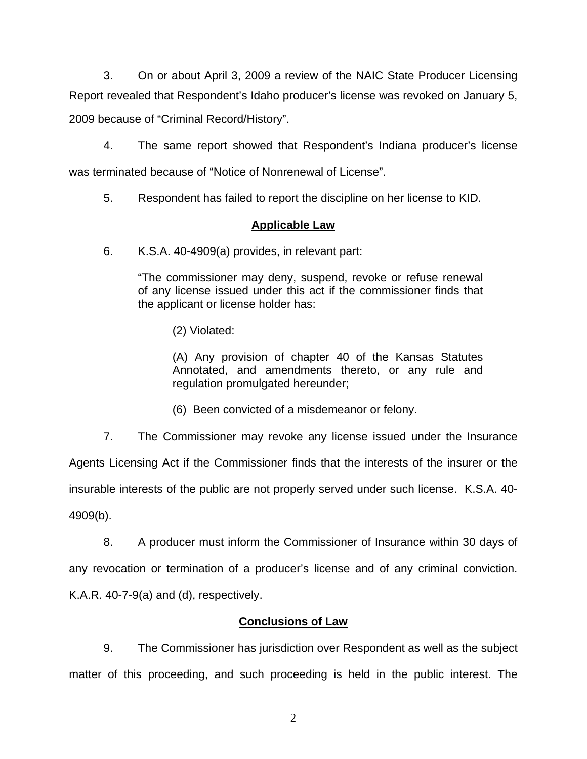3. On or about April 3, 2009 a review of the NAIC State Producer Licensing Report revealed that Respondent's Idaho producer's license was revoked on January 5, 2009 because of "Criminal Record/History".

 4. The same report showed that Respondent's Indiana producer's license was terminated because of "Notice of Nonrenewal of License".

5. Respondent has failed to report the discipline on her license to KID.

### **Applicable Law**

6. K.S.A. 40-4909(a) provides, in relevant part:

"The commissioner may deny, suspend, revoke or refuse renewal of any license issued under this act if the commissioner finds that the applicant or license holder has:

(2) Violated:

 (A) Any provision of chapter 40 of the Kansas Statutes Annotated, and amendments thereto, or any rule and regulation promulgated hereunder;

(6) Been convicted of a misdemeanor or felony.

7. The Commissioner may revoke any license issued under the Insurance

Agents Licensing Act if the Commissioner finds that the interests of the insurer or the

insurable interests of the public are not properly served under such license. K.S.A. 40- 4909(b).

 8. A producer must inform the Commissioner of Insurance within 30 days of any revocation or termination of a producer's license and of any criminal conviction. K.A.R. 40-7-9(a) and (d), respectively.

## **Conclusions of Law**

 9. The Commissioner has jurisdiction over Respondent as well as the subject matter of this proceeding, and such proceeding is held in the public interest. The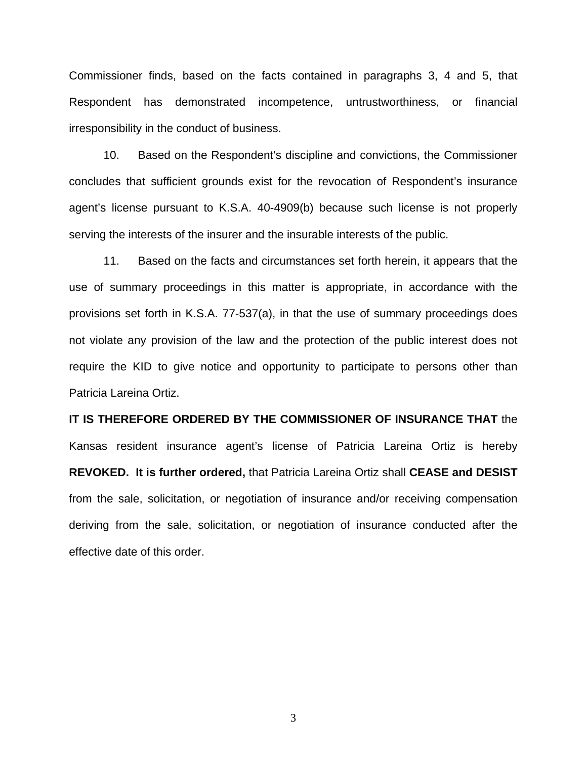Commissioner finds, based on the facts contained in paragraphs 3, 4 and 5, that Respondent has demonstrated incompetence, untrustworthiness, or financial irresponsibility in the conduct of business.

 10. Based on the Respondent's discipline and convictions, the Commissioner concludes that sufficient grounds exist for the revocation of Respondent's insurance agent's license pursuant to K.S.A. 40-4909(b) because such license is not properly serving the interests of the insurer and the insurable interests of the public.

 11. Based on the facts and circumstances set forth herein, it appears that the use of summary proceedings in this matter is appropriate, in accordance with the provisions set forth in K.S.A. 77-537(a), in that the use of summary proceedings does not violate any provision of the law and the protection of the public interest does not require the KID to give notice and opportunity to participate to persons other than Patricia Lareina Ortiz.

**IT IS THEREFORE ORDERED BY THE COMMISSIONER OF INSURANCE THAT** the Kansas resident insurance agent's license of Patricia Lareina Ortiz is hereby **REVOKED. It is further ordered,** that Patricia Lareina Ortiz shall **CEASE and DESIST** from the sale, solicitation, or negotiation of insurance and/or receiving compensation deriving from the sale, solicitation, or negotiation of insurance conducted after the effective date of this order.

3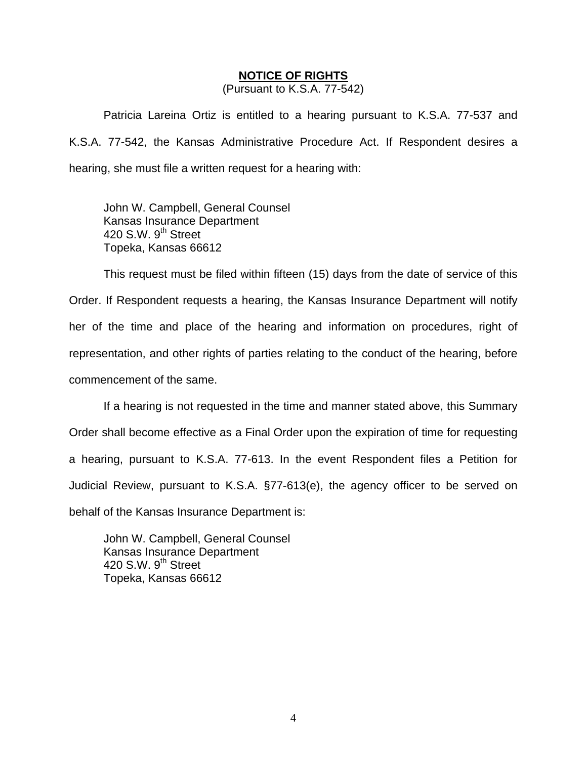#### **NOTICE OF RIGHTS**

(Pursuant to K.S.A. 77-542)

Patricia Lareina Ortiz is entitled to a hearing pursuant to K.S.A. 77-537 and K.S.A. 77-542, the Kansas Administrative Procedure Act. If Respondent desires a hearing, she must file a written request for a hearing with:

 John W. Campbell, General Counsel Kansas Insurance Department 420 S.W. 9<sup>th</sup> Street Topeka, Kansas 66612

This request must be filed within fifteen (15) days from the date of service of this Order. If Respondent requests a hearing, the Kansas Insurance Department will notify her of the time and place of the hearing and information on procedures, right of representation, and other rights of parties relating to the conduct of the hearing, before commencement of the same.

If a hearing is not requested in the time and manner stated above, this Summary Order shall become effective as a Final Order upon the expiration of time for requesting a hearing, pursuant to K.S.A. 77-613. In the event Respondent files a Petition for Judicial Review, pursuant to K.S.A. §77-613(e), the agency officer to be served on behalf of the Kansas Insurance Department is:

 John W. Campbell, General Counsel Kansas Insurance Department 420 S.W.  $9<sup>th</sup>$  Street Topeka, Kansas 66612